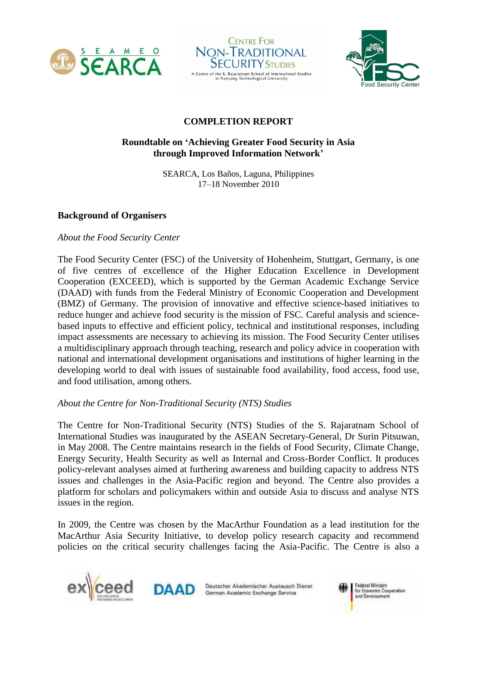





# **COMPLETION REPORT**

# **Roundtable on 'Achieving Greater Food Security in Asia through Improved Information Network'**

SEARCA, Los Baños, Laguna, Philippines 17–18 November 2010

# **Background of Organisers**

# *About the Food Security Center*

The Food Security Center (FSC) of the University of Hohenheim, Stuttgart, Germany, is one of five centres of excellence of the Higher Education Excellence in Development Cooperation (EXCEED), which is supported by the German Academic Exchange Service (DAAD) with funds from the Federal Ministry of Economic Cooperation and Development (BMZ) of Germany. The provision of innovative and effective science-based initiatives to reduce hunger and achieve food security is the mission of FSC. Careful analysis and sciencebased inputs to effective and efficient policy, technical and institutional responses, including impact assessments are necessary to achieving its mission. The Food Security Center utilises a multidisciplinary approach through teaching, research and policy advice in cooperation with national and international development organisations and institutions of higher learning in the developing world to deal with issues of sustainable food availability, food access, food use, and food utilisation, among others.

# *About the Centre for Non-Traditional Security (NTS) Studies*

The Centre for Non-Traditional Security (NTS) Studies of the S. Rajaratnam School of International Studies was inaugurated by the ASEAN Secretary-General, Dr Surin Pitsuwan, in May 2008. The Centre maintains research in the fields of Food Security, Climate Change, Energy Security, Health Security as well as Internal and Cross-Border Conflict. It produces policy-relevant analyses aimed at furthering awareness and building capacity to address NTS issues and challenges in the Asia-Pacific region and beyond. The Centre also provides a platform for scholars and policymakers within and outside Asia to discuss and analyse NTS issues in the region.

In 2009, the Centre was chosen by the MacArthur Foundation as a lead institution for the MacArthur Asia Security Initiative, to develop policy research capacity and recommend policies on the critical security challenges facing the Asia-Pacific. The Centre is also a





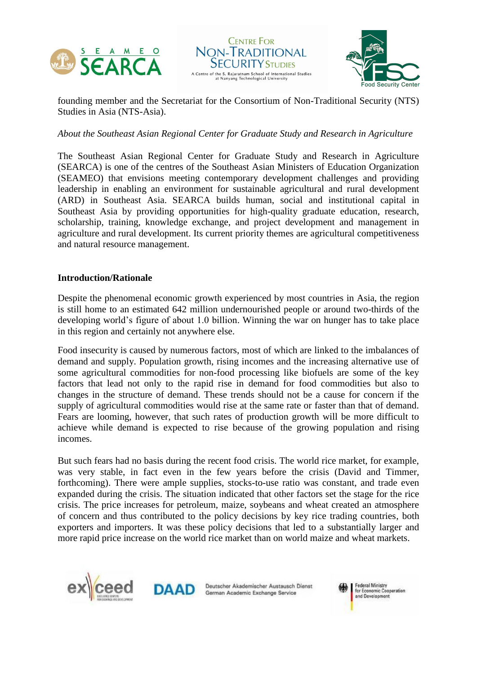





founding member and the Secretariat for the Consortium of Non-Traditional Security (NTS) Studies in Asia (NTS-Asia).

# *About the Southeast Asian Regional Center for Graduate Study and Research in Agriculture*

The Southeast Asian Regional Center for Graduate Study and Research in Agriculture (SEARCA) is one of the centres of the Southeast Asian Ministers of Education Organization (SEAMEO) that envisions meeting contemporary development challenges and providing leadership in enabling an environment for sustainable agricultural and rural development (ARD) in Southeast Asia. SEARCA builds human, social and institutional capital in Southeast Asia by providing opportunities for high-quality graduate education, research, scholarship, training, knowledge exchange, and project development and management in agriculture and rural development. Its current priority themes are agricultural competitiveness and natural resource management.

#### **Introduction/Rationale**

Despite the phenomenal economic growth experienced by most countries in Asia, the region is still home to an estimated 642 million undernourished people or around two-thirds of the developing world's figure of about 1.0 billion. Winning the war on hunger has to take place in this region and certainly not anywhere else.

Food insecurity is caused by numerous factors, most of which are linked to the imbalances of demand and supply. Population growth, rising incomes and the increasing alternative use of some agricultural commodities for non-food processing like biofuels are some of the key factors that lead not only to the rapid rise in demand for food commodities but also to changes in the structure of demand. These trends should not be a cause for concern if the supply of agricultural commodities would rise at the same rate or faster than that of demand. Fears are looming, however, that such rates of production growth will be more difficult to achieve while demand is expected to rise because of the growing population and rising incomes.

But such fears had no basis during the recent food crisis. The world rice market, for example, was very stable, in fact even in the few years before the crisis (David and Timmer, forthcoming). There were ample supplies, stocks-to-use ratio was constant, and trade even expanded during the crisis. The situation indicated that other factors set the stage for the rice crisis. The price increases for petroleum, maize, soybeans and wheat created an atmosphere of concern and thus contributed to the policy decisions by key rice trading countries, both exporters and importers. It was these policy decisions that led to a substantially larger and more rapid price increase on the world rice market than on world maize and wheat markets.





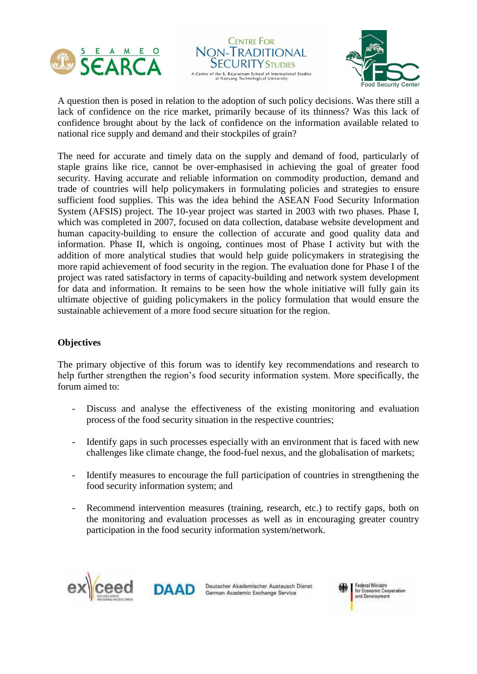





A question then is posed in relation to the adoption of such policy decisions. Was there still a lack of confidence on the rice market, primarily because of its thinness? Was this lack of confidence brought about by the lack of confidence on the information available related to national rice supply and demand and their stockpiles of grain?

The need for accurate and timely data on the supply and demand of food, particularly of staple grains like rice, cannot be over-emphasised in achieving the goal of greater food security. Having accurate and reliable information on commodity production, demand and trade of countries will help policymakers in formulating policies and strategies to ensure sufficient food supplies. This was the idea behind the ASEAN Food Security Information System (AFSIS) project. The 10-year project was started in 2003 with two phases. Phase I, which was completed in 2007, focused on data collection, database website development and human capacity-building to ensure the collection of accurate and good quality data and information. Phase II, which is ongoing, continues most of Phase I activity but with the addition of more analytical studies that would help guide policymakers in strategising the more rapid achievement of food security in the region. The evaluation done for Phase I of the project was rated satisfactory in terms of capacity-building and network system development for data and information. It remains to be seen how the whole initiative will fully gain its ultimate objective of guiding policymakers in the policy formulation that would ensure the sustainable achievement of a more food secure situation for the region.

# **Objectives**

The primary objective of this forum was to identify key recommendations and research to help further strengthen the region's food security information system. More specifically, the forum aimed to:

- Discuss and analyse the effectiveness of the existing monitoring and evaluation process of the food security situation in the respective countries;
- Identify gaps in such processes especially with an environment that is faced with new challenges like climate change, the food-fuel nexus, and the globalisation of markets;
- Identify measures to encourage the full participation of countries in strengthening the food security information system; and
- Recommend intervention measures (training, research, etc.) to rectify gaps, both on the monitoring and evaluation processes as well as in encouraging greater country participation in the food security information system/network.





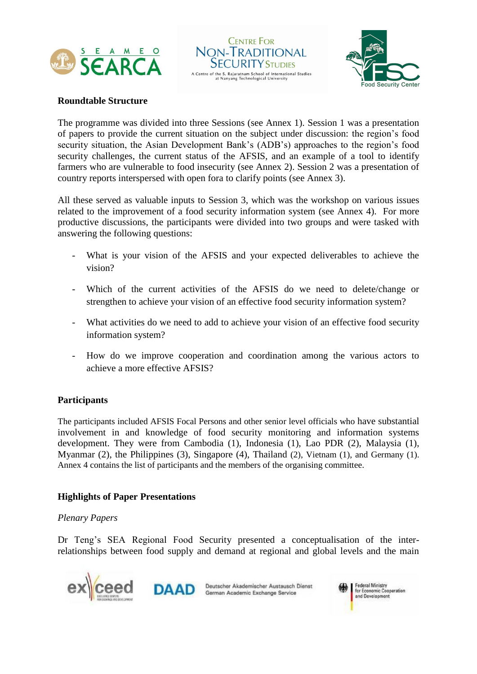





#### **Roundtable Structure**

The programme was divided into three Sessions (see Annex 1). Session 1 was a presentation of papers to provide the current situation on the subject under discussion: the region's food security situation, the Asian Development Bank's (ADB's) approaches to the region's food security challenges, the current status of the AFSIS, and an example of a tool to identify farmers who are vulnerable to food insecurity (see Annex 2). Session 2 was a presentation of country reports interspersed with open fora to clarify points (see Annex 3).

All these served as valuable inputs to Session 3, which was the workshop on various issues related to the improvement of a food security information system (see Annex 4). For more productive discussions, the participants were divided into two groups and were tasked with answering the following questions:

- What is your vision of the AFSIS and your expected deliverables to achieve the vision?
- Which of the current activities of the AFSIS do we need to delete/change or strengthen to achieve your vision of an effective food security information system?
- What activities do we need to add to achieve your vision of an effective food security information system?
- How do we improve cooperation and coordination among the various actors to achieve a more effective AFSIS?

# **Participants**

The participants included AFSIS Focal Persons and other senior level officials who have substantial involvement in and knowledge of food security monitoring and information systems development. They were from Cambodia (1), Indonesia (1), Lao PDR (2), Malaysia (1), Myanmar (2), the Philippines (3), Singapore (4), Thailand (2), Vietnam (1), and Germany (1). Annex 4 contains the list of participants and the members of the organising committee.

# **Highlights of Paper Presentations**

#### *Plenary Papers*

Dr Teng's SEA Regional Food Security presented a conceptualisation of the interrelationships between food supply and demand at regional and global levels and the main





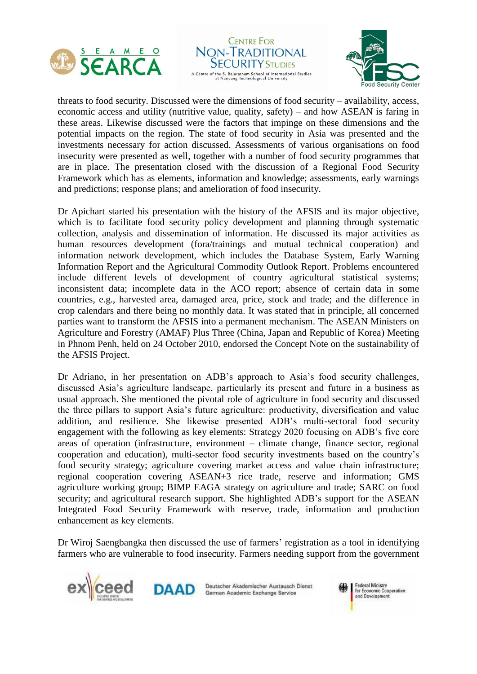





threats to food security. Discussed were the dimensions of food security – availability, access, economic access and utility (nutritive value, quality, safety) – and how ASEAN is faring in these areas. Likewise discussed were the factors that impinge on these dimensions and the potential impacts on the region. The state of food security in Asia was presented and the investments necessary for action discussed. Assessments of various organisations on food insecurity were presented as well, together with a number of food security programmes that are in place. The presentation closed with the discussion of a Regional Food Security Framework which has as elements, information and knowledge; assessments, early warnings and predictions; response plans; and amelioration of food insecurity.

Dr Apichart started his presentation with the history of the AFSIS and its major objective, which is to facilitate food security policy development and planning through systematic collection, analysis and dissemination of information. He discussed its major activities as human resources development (fora/trainings and mutual technical cooperation) and information network development, which includes the Database System, Early Warning Information Report and the Agricultural Commodity Outlook Report. Problems encountered include different levels of development of country agricultural statistical systems; inconsistent data; incomplete data in the ACO report; absence of certain data in some countries, e.g., harvested area, damaged area, price, stock and trade; and the difference in crop calendars and there being no monthly data. It was stated that in principle, all concerned parties want to transform the AFSIS into a permanent mechanism. The ASEAN Ministers on Agriculture and Forestry (AMAF) Plus Three (China, Japan and Republic of Korea) Meeting in Phnom Penh, held on 24 October 2010, endorsed the Concept Note on the sustainability of the AFSIS Project.

Dr Adriano, in her presentation on ADB's approach to Asia's food security challenges, discussed Asia's agriculture landscape, particularly its present and future in a business as usual approach. She mentioned the pivotal role of agriculture in food security and discussed the three pillars to support Asia's future agriculture: productivity, diversification and value addition, and resilience. She likewise presented ADB's multi-sectoral food security engagement with the following as key elements: Strategy 2020 focusing on ADB's five core areas of operation (infrastructure, environment – climate change, finance sector, regional cooperation and education), multi-sector food security investments based on the country's food security strategy; agriculture covering market access and value chain infrastructure; regional cooperation covering ASEAN+3 rice trade, reserve and information; GMS agriculture working group; BIMP EAGA strategy on agriculture and trade; SARC on food security; and agricultural research support. She highlighted ADB's support for the ASEAN Integrated Food Security Framework with reserve, trade, information and production enhancement as key elements.

Dr Wiroj Saengbangka then discussed the use of farmers' registration as a tool in identifying farmers who are vulnerable to food insecurity. Farmers needing support from the government





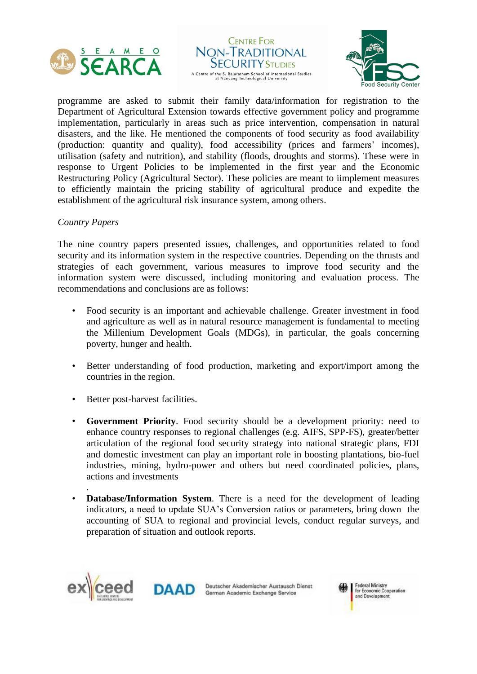





programme are asked to submit their family data/information for registration to the Department of Agricultural Extension towards effective government policy and programme implementation, particularly in areas such as price intervention, compensation in natural disasters, and the like. He mentioned the components of food security as food availability (production: quantity and quality), food accessibility (prices and farmers' incomes), utilisation (safety and nutrition), and stability (floods, droughts and storms). These were in response to Urgent Policies to be implemented in the first year and the Economic Restructuring Policy (Agricultural Sector). These policies are meant to iimplement measures to efficiently maintain the pricing stability of agricultural produce and expedite the establishment of the agricultural risk insurance system, among others.

#### *Country Papers*

The nine country papers presented issues, challenges, and opportunities related to food security and its information system in the respective countries. Depending on the thrusts and strategies of each government, various measures to improve food security and the information system were discussed, including monitoring and evaluation process. The recommendations and conclusions are as follows:

- Food security is an important and achievable challenge. Greater investment in food and agriculture as well as in natural resource management is fundamental to meeting the Millenium Development Goals (MDGs), in particular, the goals concerning poverty, hunger and health.
- Better understanding of food production, marketing and export/import among the countries in the region.
- Better post-harvest facilities.
- **Government Priority**. Food security should be a development priority: need to enhance country responses to regional challenges (e.g. AIFS, SPP-FS), greater/better articulation of the regional food security strategy into national strategic plans, FDI and domestic investment can play an important role in boosting plantations, bio-fuel industries, mining, hydro-power and others but need coordinated policies, plans, actions and investments
- **Database/Information System**. There is a need for the development of leading indicators, a need to update SUA's Conversion ratios or parameters, bring down the accounting of SUA to regional and provincial levels, conduct regular surveys, and preparation of situation and outlook reports.



.



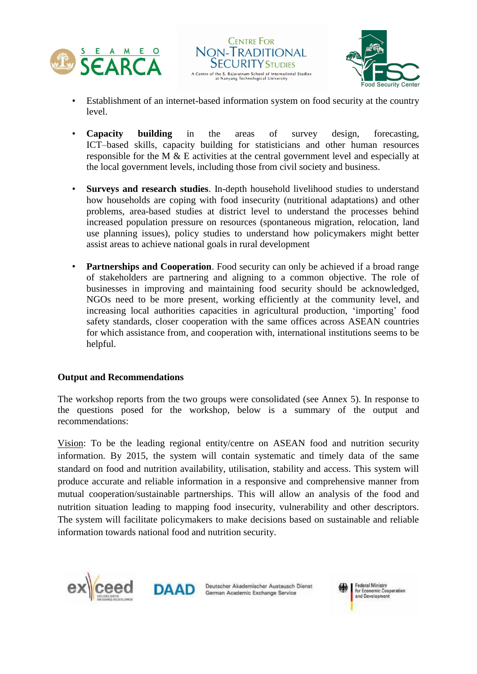





- Establishment of an internet-based information system on food security at the country level.
- **Capacity building** in the areas of survey design, forecasting, ICT–based skills, capacity building for statisticians and other human resources responsible for the M & E activities at the central government level and especially at the local government levels, including those from civil society and business.
- **Surveys and research studies**. In-depth household livelihood studies to understand how households are coping with food insecurity (nutritional adaptations) and other problems, area-based studies at district level to understand the processes behind increased population pressure on resources (spontaneous migration, relocation, land use planning issues), policy studies to understand how policymakers might better assist areas to achieve national goals in rural development
- **Partnerships and Cooperation**. Food security can only be achieved if a broad range of stakeholders are partnering and aligning to a common objective. The role of businesses in improving and maintaining food security should be acknowledged, NGOs need to be more present, working efficiently at the community level, and increasing local authorities capacities in agricultural production, 'importing' food safety standards, closer cooperation with the same offices across ASEAN countries for which assistance from, and cooperation with, international institutions seems to be helpful.

# **Output and Recommendations**

The workshop reports from the two groups were consolidated (see Annex 5). In response to the questions posed for the workshop, below is a summary of the output and recommendations:

Vision: To be the leading regional entity/centre on ASEAN food and nutrition security information. By 2015, the system will contain systematic and timely data of the same standard on food and nutrition availability, utilisation, stability and access. This system will produce accurate and reliable information in a responsive and comprehensive manner from mutual cooperation/sustainable partnerships. This will allow an analysis of the food and nutrition situation leading to mapping food insecurity, vulnerability and other descriptors. The system will facilitate policymakers to make decisions based on sustainable and reliable information towards national food and nutrition security.